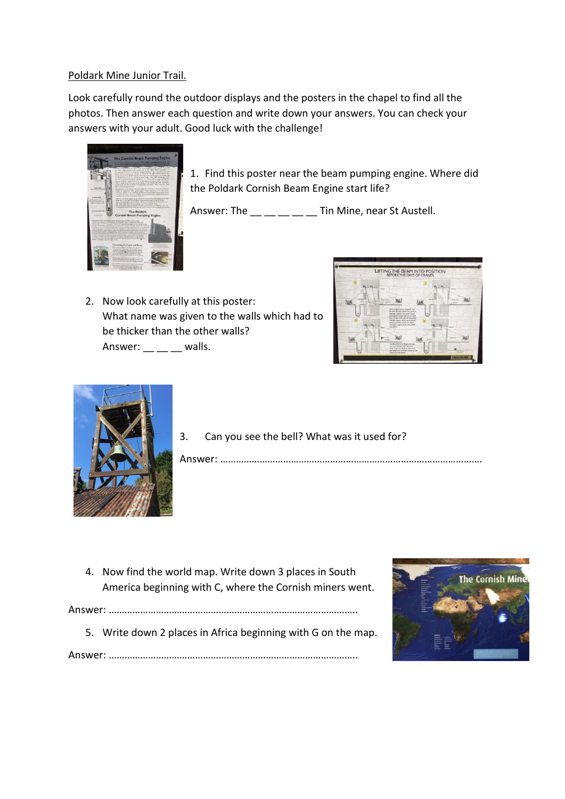## Poldark Mine Junior Trail.

Look carefully round the outdoor displays and the posters in the chapel to find all the photos. Then answer each question and write down your answers. You can check your answers with your adult. Good luck with the challenge!



1. Find this poster near the beam pumping engine. Where did the Poldark Cornish Beam Engine start life?

Answer: The  $\frac{1}{2}$   $\frac{1}{2}$   $\frac{1}{2}$   $\frac{1}{2}$   $\frac{1}{2}$  Tin Mine, near St Austell.

2. Now look carefully at this poster: What name was given to the walls which had to be thicker than the other walls? Answer:  $\_\_$   $\_\_$  walls.





3. Can you see the bell? What was it used for?

Answer: ……………………………………………………………………………………….

4. Now find the world map. Write down 3 places in South America beginning with C, where the Cornish miners went.

Answer: …………………………………………………………………………………..

5. Write down 2 places in Africa beginning with G on the map.



Answer: …………………………………………………………………………………..